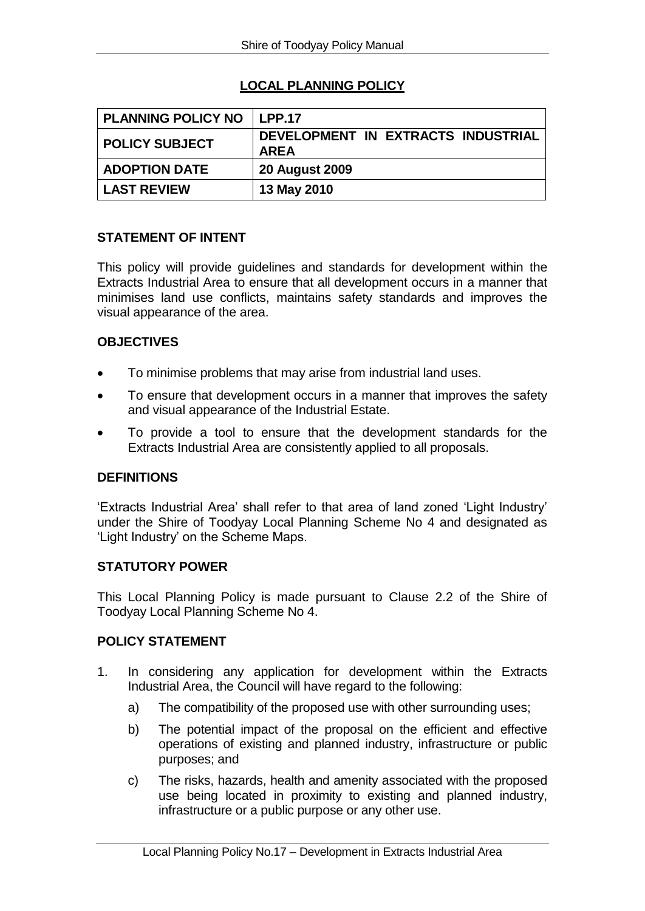# **LOCAL PLANNING POLICY**

| <b>PLANNING POLICY NO</b> | LPP.17                                            |
|---------------------------|---------------------------------------------------|
| <b>POLICY SUBJECT</b>     | DEVELOPMENT IN EXTRACTS INDUSTRIAL<br><b>AREA</b> |
| <b>ADOPTION DATE</b>      | <b>20 August 2009</b>                             |
| <b>LAST REVIEW</b>        | 13 May 2010                                       |

# **STATEMENT OF INTENT**

This policy will provide guidelines and standards for development within the Extracts Industrial Area to ensure that all development occurs in a manner that minimises land use conflicts, maintains safety standards and improves the visual appearance of the area.

# **OBJECTIVES**

- To minimise problems that may arise from industrial land uses.
- To ensure that development occurs in a manner that improves the safety and visual appearance of the Industrial Estate.
- To provide a tool to ensure that the development standards for the Extracts Industrial Area are consistently applied to all proposals.

### **DEFINITIONS**

'Extracts Industrial Area' shall refer to that area of land zoned 'Light Industry' under the Shire of Toodyay Local Planning Scheme No 4 and designated as 'Light Industry' on the Scheme Maps.

#### **STATUTORY POWER**

This Local Planning Policy is made pursuant to Clause 2.2 of the Shire of Toodyay Local Planning Scheme No 4.

### **POLICY STATEMENT**

- 1. In considering any application for development within the Extracts Industrial Area, the Council will have regard to the following:
	- a) The compatibility of the proposed use with other surrounding uses;
	- b) The potential impact of the proposal on the efficient and effective operations of existing and planned industry, infrastructure or public purposes; and
	- c) The risks, hazards, health and amenity associated with the proposed use being located in proximity to existing and planned industry, infrastructure or a public purpose or any other use.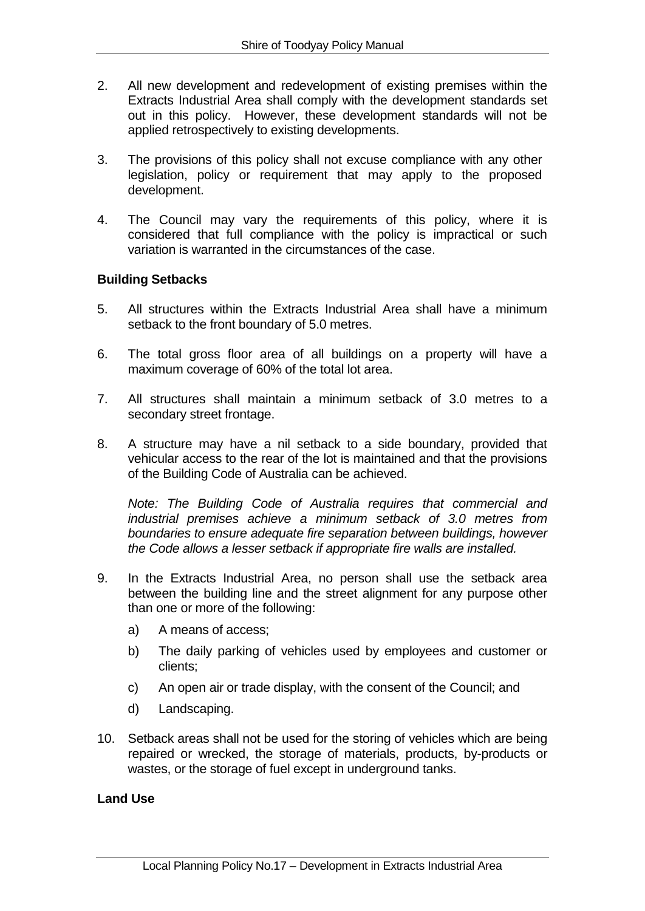- 2. All new development and redevelopment of existing premises within the Extracts Industrial Area shall comply with the development standards set out in this policy. However, these development standards will not be applied retrospectively to existing developments.
- 3. The provisions of this policy shall not excuse compliance with any other legislation, policy or requirement that may apply to the proposed development.
- 4. The Council may vary the requirements of this policy, where it is considered that full compliance with the policy is impractical or such variation is warranted in the circumstances of the case.

# **Building Setbacks**

- 5. All structures within the Extracts Industrial Area shall have a minimum setback to the front boundary of 5.0 metres.
- 6. The total gross floor area of all buildings on a property will have a maximum coverage of 60% of the total lot area.
- 7. All structures shall maintain a minimum setback of 3.0 metres to a secondary street frontage.
- 8. A structure may have a nil setback to a side boundary, provided that vehicular access to the rear of the lot is maintained and that the provisions of the Building Code of Australia can be achieved.

*Note: The Building Code of Australia requires that commercial and industrial premises achieve a minimum setback of 3.0 metres from boundaries to ensure adequate fire separation between buildings, however the Code allows a lesser setback if appropriate fire walls are installed.*

- 9. In the Extracts Industrial Area, no person shall use the setback area between the building line and the street alignment for any purpose other than one or more of the following:
	- a) A means of access;
	- b) The daily parking of vehicles used by employees and customer or clients;
	- c) An open air or trade display, with the consent of the Council; and
	- d) Landscaping.
- 10. Setback areas shall not be used for the storing of vehicles which are being repaired or wrecked, the storage of materials, products, by-products or wastes, or the storage of fuel except in underground tanks.

### **Land Use**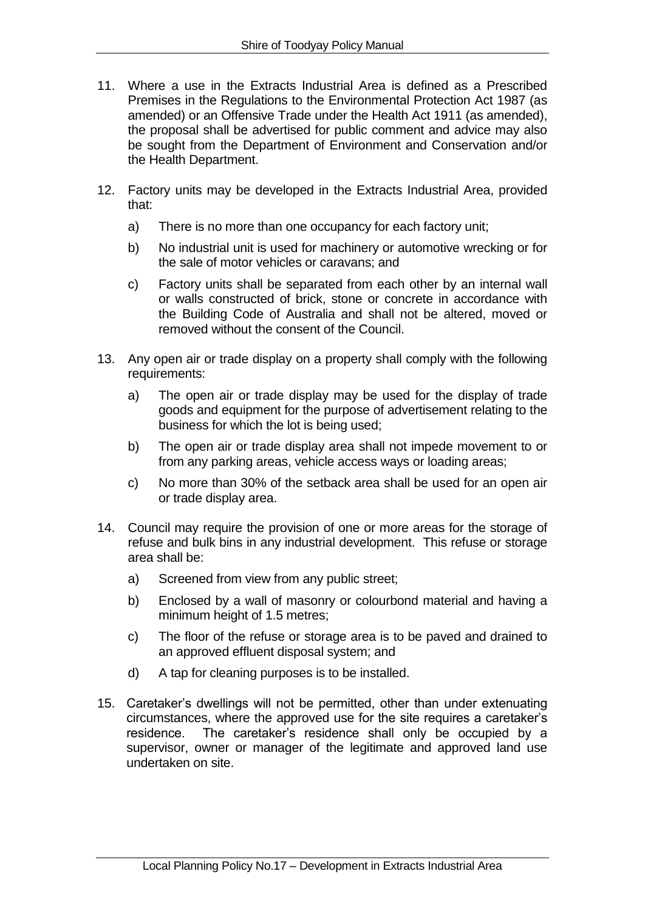- 11. Where a use in the Extracts Industrial Area is defined as a Prescribed Premises in the Regulations to the Environmental Protection Act 1987 (as amended) or an Offensive Trade under the Health Act 1911 (as amended), the proposal shall be advertised for public comment and advice may also be sought from the Department of Environment and Conservation and/or the Health Department.
- 12. Factory units may be developed in the Extracts Industrial Area, provided that:
	- a) There is no more than one occupancy for each factory unit;
	- b) No industrial unit is used for machinery or automotive wrecking or for the sale of motor vehicles or caravans; and
	- c) Factory units shall be separated from each other by an internal wall or walls constructed of brick, stone or concrete in accordance with the Building Code of Australia and shall not be altered, moved or removed without the consent of the Council.
- 13. Any open air or trade display on a property shall comply with the following requirements:
	- a) The open air or trade display may be used for the display of trade goods and equipment for the purpose of advertisement relating to the business for which the lot is being used;
	- b) The open air or trade display area shall not impede movement to or from any parking areas, vehicle access ways or loading areas;
	- c) No more than 30% of the setback area shall be used for an open air or trade display area.
- 14. Council may require the provision of one or more areas for the storage of refuse and bulk bins in any industrial development. This refuse or storage area shall be:
	- a) Screened from view from any public street;
	- b) Enclosed by a wall of masonry or colourbond material and having a minimum height of 1.5 metres;
	- c) The floor of the refuse or storage area is to be paved and drained to an approved effluent disposal system; and
	- d) A tap for cleaning purposes is to be installed.
- 15. Caretaker's dwellings will not be permitted, other than under extenuating circumstances, where the approved use for the site requires a caretaker's residence. The caretaker's residence shall only be occupied by a supervisor, owner or manager of the legitimate and approved land use undertaken on site.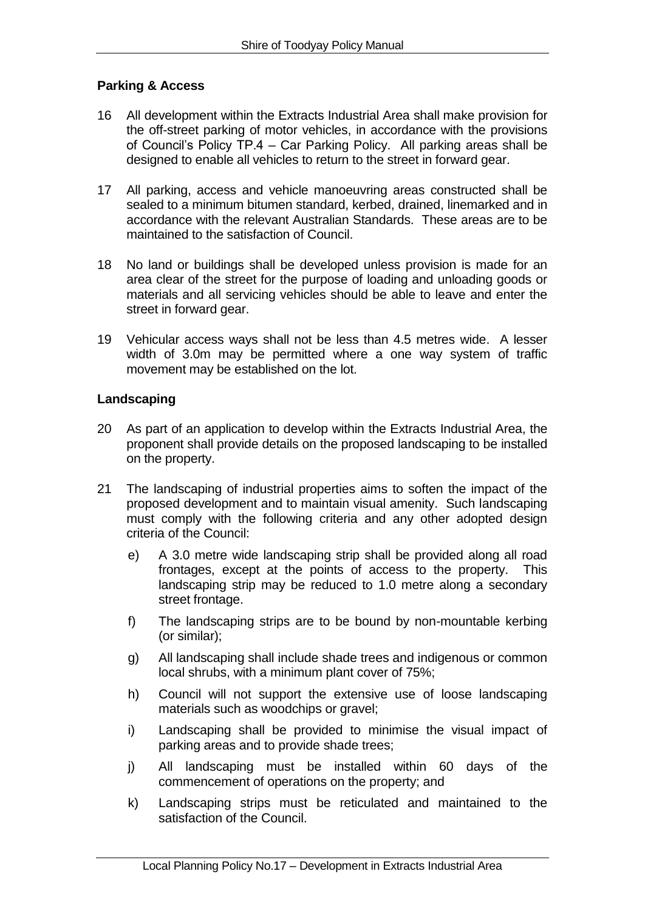# **Parking & Access**

- 16 All development within the Extracts Industrial Area shall make provision for the off-street parking of motor vehicles, in accordance with the provisions of Council's Policy TP.4 – Car Parking Policy. All parking areas shall be designed to enable all vehicles to return to the street in forward gear.
- 17 All parking, access and vehicle manoeuvring areas constructed shall be sealed to a minimum bitumen standard, kerbed, drained, linemarked and in accordance with the relevant Australian Standards. These areas are to be maintained to the satisfaction of Council.
- 18 No land or buildings shall be developed unless provision is made for an area clear of the street for the purpose of loading and unloading goods or materials and all servicing vehicles should be able to leave and enter the street in forward gear.
- 19 Vehicular access ways shall not be less than 4.5 metres wide. A lesser width of 3.0m may be permitted where a one way system of traffic movement may be established on the lot.

### **Landscaping**

- 20 As part of an application to develop within the Extracts Industrial Area, the proponent shall provide details on the proposed landscaping to be installed on the property.
- 21 The landscaping of industrial properties aims to soften the impact of the proposed development and to maintain visual amenity. Such landscaping must comply with the following criteria and any other adopted design criteria of the Council:
	- e) A 3.0 metre wide landscaping strip shall be provided along all road frontages, except at the points of access to the property. This landscaping strip may be reduced to 1.0 metre along a secondary street frontage.
	- f) The landscaping strips are to be bound by non-mountable kerbing (or similar);
	- g) All landscaping shall include shade trees and indigenous or common local shrubs, with a minimum plant cover of 75%;
	- h) Council will not support the extensive use of loose landscaping materials such as woodchips or gravel;
	- i) Landscaping shall be provided to minimise the visual impact of parking areas and to provide shade trees;
	- j) All landscaping must be installed within 60 days of the commencement of operations on the property; and
	- k) Landscaping strips must be reticulated and maintained to the satisfaction of the Council.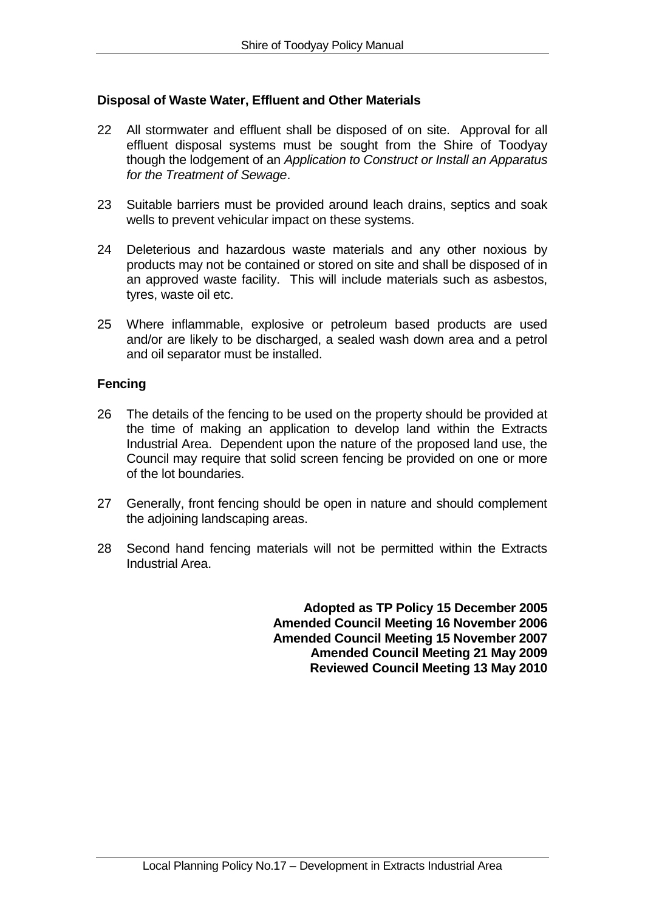# **Disposal of Waste Water, Effluent and Other Materials**

- 22 All stormwater and effluent shall be disposed of on site. Approval for all effluent disposal systems must be sought from the Shire of Toodyay though the lodgement of an *Application to Construct or Install an Apparatus for the Treatment of Sewage*.
- 23 Suitable barriers must be provided around leach drains, septics and soak wells to prevent vehicular impact on these systems.
- 24 Deleterious and hazardous waste materials and any other noxious by products may not be contained or stored on site and shall be disposed of in an approved waste facility. This will include materials such as asbestos, tyres, waste oil etc.
- 25 Where inflammable, explosive or petroleum based products are used and/or are likely to be discharged, a sealed wash down area and a petrol and oil separator must be installed.

### **Fencing**

- 26 The details of the fencing to be used on the property should be provided at the time of making an application to develop land within the Extracts Industrial Area. Dependent upon the nature of the proposed land use, the Council may require that solid screen fencing be provided on one or more of the lot boundaries.
- 27 Generally, front fencing should be open in nature and should complement the adjoining landscaping areas.
- 28 Second hand fencing materials will not be permitted within the Extracts Industrial Area.

**Adopted as TP Policy 15 December 2005 Amended Council Meeting 16 November 2006 Amended Council Meeting 15 November 2007 Amended Council Meeting 21 May 2009 Reviewed Council Meeting 13 May 2010**